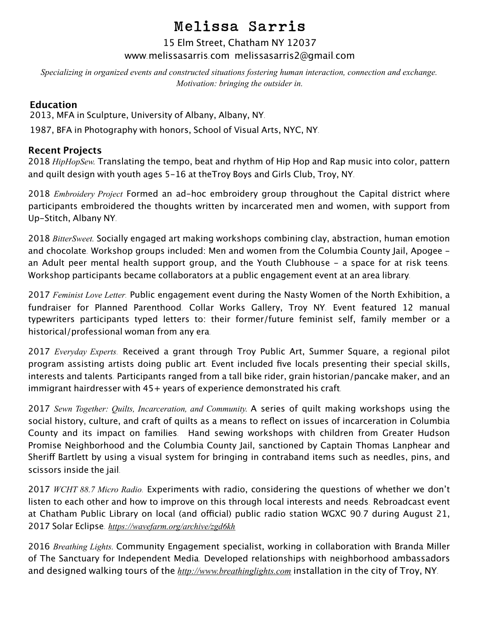# Melissa Sarris

#### 15 Elm Street, Chatham NY 12037 www.[melissasarris](http://www.melissasarris.com).com [melissasarris2@gmail](mailto:melissasarris2@gmail.com).com

*Specializing in organized events and constructed situations fostering human interaction, connection and exchange. Motivation: bringing the outsider in.* 

#### **Education**

2013, MFA in Sculpture, University of Albany, Albany, NY.

1987, BFA in Photography with honors, School of Visual Arts, NYC, NY.

#### **Recent Projects**

2018 *HipHopSew.* Translating the tempo, beat and rhythm of Hip Hop and Rap music into color, pattern and quilt design with youth ages 5-16 at theTroy Boys and Girls Club, Troy, NY.

2018 *Embroidery Project* Formed an ad-hoc embroidery group throughout the Capital district where participants embroidered the thoughts written by incarcerated men and women, with support from Up-Stitch, Albany NY.

2018 *BitterSweet.* Socially engaged art making workshops combining clay, abstraction, human emotion and chocolate. Workshop groups included: Men and women from the Columbia County Jail, Apogee an Adult peer mental health support group, and the Youth Clubhouse - a space for at risk teens. Workshop participants became collaborators at a public engagement event at an area library.

2017 *Feminist Love Letter*. Public engagement event during the Nasty Women of the North Exhibition, a fundraiser for Planned Parenthood. Collar Works Gallery, Troy NY. Event featured 12 manual typewriters participants typed letters to: their former/future feminist self, family member or a historical/professional woman from any era.

2017 *Everyday Experts*. Received a grant through Troy Public Art, Summer Square, a regional pilot program assisting artists doing public art. Event included five locals presenting their special skills, interests and talents. Participants ranged from a tall bike rider, grain historian/pancake maker, and an immigrant hairdresser with 45+ years of experience demonstrated his craft.

2017 *Sewn Together: Quilts, Incarceration, and Community.* A series of quilt making workshops using the social history, culture, and craft of quilts as a means to reflect on issues of incarceration in Columbia County and its impact on families. Hand sewing workshops with children from Greater Hudson Promise Neighborhood and the Columbia County Jail, sanctioned by Captain Thomas Lanphear and Sherif Bartlett by using a visual system for bringing in contraband items such as needles, pins, and scissors inside the jail.

2017 *WCHT 88.7 Micro Radio*. Experiments with radio, considering the questions of whether we don't listen to each other and how to improve on this through local interests and needs. Rebroadcast event at Chatham Public Library on local (and official) public radio station WGXC 90.7 during August 21, 2017 Solar Eclipse. *<https://wavefarm.org/archive/zgd6kh>*

2016 *Breathing Lights.* Community Engagement specialist, working in collaboration with Branda Miller of The Sanctuary for Independent Media. Developed relationships with neighborhood ambassadors and designed walking tours of the *<http://www.breathinglights.com>* installation in the city of Troy, NY.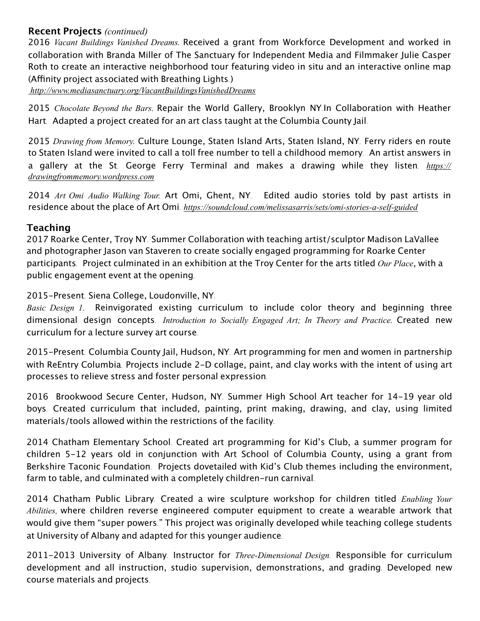#### **Recent Projects** *(continued)*

2016 *Vacant Buildings Vanished Dreams.* Received a grant from Workforce Development and worked in collaboration with Branda Miller of The Sanctuary for Independent Media and Filmmaker Julie Casper Roth to create an interactive neighborhood tour featuring video in situ and an interactive online map (Affinity project associated with Breathing Lights.)

*<http://www.mediasanctuary.org/VacantBuildingsVanishedDreams>*

2015 *Chocolate Beyond the Bars.* Repair the World Gallery, Brooklyn NY.In Collaboration with Heather Hart. Adapted a project created for an art class taught at the Columbia County Jail.

2015 *Drawing from Memory.* Culture Lounge, Staten Island Arts, Staten Island, NY. Ferry riders en route to Staten Island were invited to call a toll free number to tell a childhood memory. An artist answers in a gallery at the St. George Ferry Terminal and makes a drawing while they listen. *[https://](https://drawingfrommemory.wordpress.com) [drawingfrommemory.wordpress.com](https://drawingfrommemory.wordpress.com)*

2014 *Art Omi Audio Walking Tour.* Art Omi, Ghent, NY. Edited audio stories told by past artists in residence about the place of Art Omi. *<https://soundcloud.com/melissasarris/sets/omi-stories-a-self-guided>*

#### **Teaching**

2017 Roarke Center, Troy NY. Summer Collaboration with teaching artist/sculptor Madison LaVallee and photographer Jason van Staveren to create socially engaged programming for Roarke Center participants. Project culminated in an exhibition at the Troy Center for the arts titled *Our Place*, with a public engagement event at the opening.

2015-Present. Siena College, Loudonville, NY.

*Basic Design 1.* Reinvigorated existing curriculum to include color theory and beginning three dimensional design concepts. *Introduction to Socially Engaged Art; In Theory and Practice.* Created new curriculum for a lecture survey art course.

2015-Present. Columbia County Jail, Hudson, NY. Art programming for men and women in partnership with ReEntry Columbia. Projects include 2-D collage, paint, and clay works with the intent of using art processes to relieve stress and foster personal expression.

2016 Brookwood Secure Center, Hudson, NY. Summer High School Art teacher for 14-19 year old boys. Created curriculum that included, painting, print making, drawing, and clay, using limited materials/tools allowed within the restrictions of the facility.

2014 Chatham Elementary School. Created art programming for Kid's Club, a summer program for children 5-12 years old in conjunction with Art School of Columbia County, using a grant from Berkshire Taconic Foundation. Projects dovetailed with Kid's Club themes including the environment, farm to table, and culminated with a completely children-run carnival.

2014 Chatham Public Library. Created a wire sculpture workshop for children titled *Enabling Your Abilities,* where children reverse engineered computer equipment to create a wearable artwork that would give them "super powers." This project was originally developed while teaching college students at University of Albany and adapted for this younger audience.

2011-2013 University of Albany. Instructor for *Three-Dimensional Design*. Responsible for curriculum development and all instruction, studio supervision, demonstrations, and grading. Developed new course materials and projects.